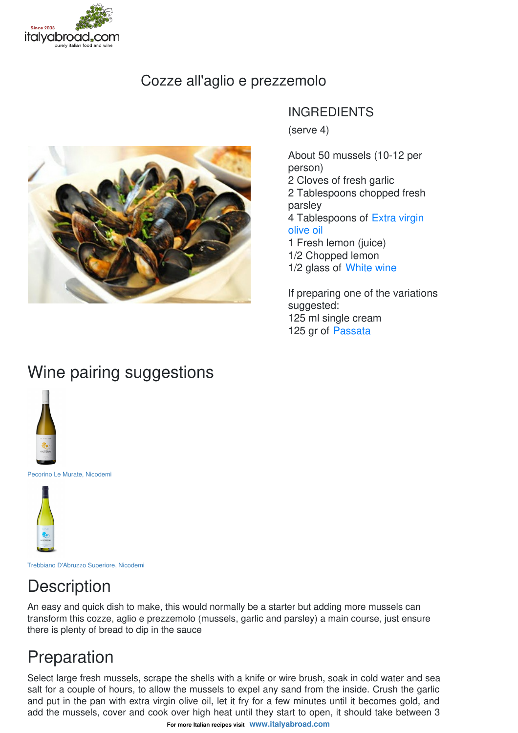

### Cozze all'aglio e prezzemolo



#### INGREDIENTS

(serve 4)

About 50 mussels (10-12 per person) 2 Cloves of fresh garlic 2 Tablespoons chopped fresh parsley 4 [Tablespoons](file:///food/extra-virgin-olive-oils) of Extra virgin olive oil 1 Fresh lemon (juice) 1/2 Chopped lemon

1/2 glass of [White](file:///wine/white-wines) wine If preparing one of the variations

suggested: 125 ml single cream 125 gr of [Passata](file:///food/organic-tomato-passata-punto-verde)

## Wine pairing suggestions



Pecorino Le Murate, [Nicodemi](https://www.italyabroad.com//wine/white-wines/pecorino-le-murate-nicodemi)



Trebbiano D'Abruzzo [Superiore,](https://www.italyabroad.com//wine/white-wines/trebbiano-dabruzzo-superiore-nicodemi) Nicodemi

# **Description**

An easy and quick dish to make, this would normally be a starter but adding more mussels can transform this cozze, aglio e prezzemolo (mussels, garlic and parsley) a main course, just ensure there is plenty of bread to dip in the sauce

## Preparation

Select large fresh mussels, scrape the shells with a knife or wire brush, soak in cold water and sea salt for a couple of hours, to allow the mussels to expel any sand from the inside. Crush the garlic and put in the pan with extra virgin olive oil, let it fry for a few minutes until it becomes gold, and add the mussels, cover and cook over high heat until they start to open, it should take between 3